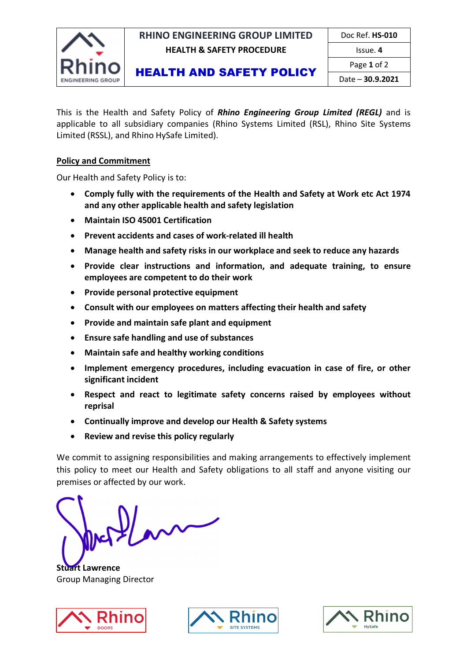INGINEERING GROUP

### **RHINO ENGINEERING GROUP LIMITED | Doc Ref. HS-010 HEALTH & SAFETY PROCEDURE ISSUE. 4**

# HEALTH AND SAFETY POLICY

Page **1** of 2 Date – **30.9.2021**

This is the Health and Safety Policy of *Rhino Engineering Group Limited (REGL)* and is applicable to all subsidiary companies (Rhino Systems Limited (RSL), Rhino Site Systems Limited (RSSL), and Rhino HySafe Limited).

## **Policy and Commitment**

Our Health and Safety Policy is to:

- **Comply fully with the requirements of the Health and Safety at Work etc Act 1974 and any other applicable health and safety legislation**
- **Maintain ISO 45001 Certification**
- **Prevent accidents and cases of work-related ill health**
- **Manage health and safety risks in our workplace and seek to reduce any hazards**
- **Provide clear instructions and information, and adequate training, to ensure employees are competent to do their work**
- **Provide personal protective equipment**
- **Consult with our employees on matters affecting their health and safety**
- **Provide and maintain safe plant and equipment**
- **Ensure safe handling and use of substances**
- **Maintain safe and healthy working conditions**
- **Implement emergency procedures, including evacuation in case of fire, or other significant incident**
- **Respect and react to legitimate safety concerns raised by employees without reprisal**
- **Continually improve and develop our Health & Safety systems**
- **Review and revise this policy regularly**

We commit to assigning responsibilities and making arrangements to effectively implement this policy to meet our Health and Safety obligations to all staff and anyone visiting our premises or affected by our work.

**Stuart Lawrence**  Group Managing Director